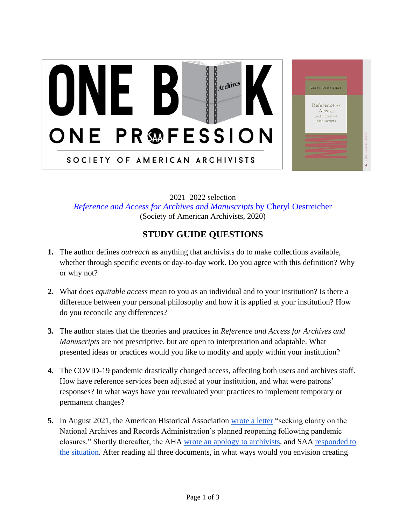## **DODOO** U Archives ONE PROFESSION SOCIETY OF AMERICAN ARCHIVISTS

Cheryl Oestreicher Reference and Access Archives en Manuscripts

2021–2022 selection *[Reference and Access for Archives and Manuscripts](https://mysaa.archivists.org/productdetails?id=a1B0b00000hBXYtEAO)* by Cheryl Oestreicher (Society of American Archivists, 2020)

## **STUDY GUIDE QUESTIONS**

- **1.** The author defines *outreach* as anything that archivists do to make collections available, whether through specific events or day-to-day work. Do you agree with this definition? Why or why not?
- **2.** What does *equitable access* mean to you as an individual and to your institution? Is there a difference between your personal philosophy and how it is applied at your institution? How do you reconcile any differences?
- **3.** The author states that the theories and practices in *Reference and Access for Archives and Manuscripts* are not prescriptive, but are open to interpretation and adaptable. What presented ideas or practices would you like to modify and apply within your institution?
- **4.** The COVID-19 pandemic drastically changed access, affecting both users and archives staff. How have reference services been adjusted at your institution, and what were patrons' responses? In what ways have you reevaluated your practices to implement temporary or permanent changes?
- **5.** In August 2021, the American Historical Associatio[n](https://www.historians.org/news-and-advocacy/aha-sends-letter-to-nara-regarding-planned-research-room-capacity-(august-2021)) [wrote a letter](https://www.historians.org/news-and-advocacy/aha-sends-letter-to-nara-regarding-planned-research-room-capacity-(august-2021)) "seeking clarity on the National Archives and Records Administration's planned reopening following pandemic closures." Shortly thereafter, the [AHA wrote an apology to archivists,](https://www.historians.org/news-and-advocacy/aha-advocacy/aha-letter-to-nara-regarding-planned-research-room-capacity-(august-2021)) and SA[A](https://www2.archivists.org/statements/saa-responds-to-the-american-historical-association) [responded to](https://www2.archivists.org/statements/saa-responds-to-the-american-historical-association)  [the situation.](https://www2.archivists.org/statements/saa-responds-to-the-american-historical-association) After reading all three documents, in what ways would you envision creating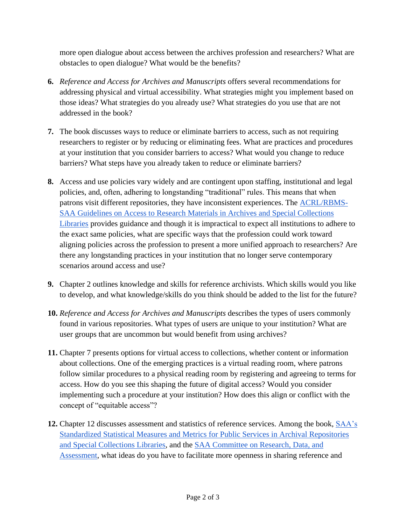more open dialogue about access between the archives profession and researchers? What are obstacles to open dialogue? What would be the benefits?

- **6.** *Reference and Access for Archives and Manuscripts* offers several recommendations for addressing physical and virtual accessibility. What strategies might you implement based on those ideas? What strategies do you already use? What strategies do you use that are not addressed in the book?
- **7.** The book discusses ways to reduce or eliminate barriers to access, such as not requiring researchers to register or by reducing or eliminating fees. What are practices and procedures at your institution that you consider barriers to access? What would you change to reduce barriers? What steps have you already taken to reduce or eliminate barriers?
- **8.** Access and use policies vary widely and are contingent upon staffing, institutional and legal policies, and, often, adhering to longstanding "traditional" rules. This means that when patrons visit diff[e](https://www2.archivists.org/groups/saa-council/acrl-rbms-saa-guidelines-on-access-to-research-materials-in-archives-and-special-collections-libraries)rent repositories, they have inconsistent experiences. The **ACRL/RBMS**-[SAA Guidelines on Access to Research Materials in Archives and Special Collections](https://www2.archivists.org/groups/saa-council/acrl-rbms-saa-guidelines-on-access-to-research-materials-in-archives-and-special-collections-libraries)  [Libraries](https://www2.archivists.org/groups/saa-council/acrl-rbms-saa-guidelines-on-access-to-research-materials-in-archives-and-special-collections-libraries) provides guidance and though it is impractical to expect all institutions to adhere to the exact same policies, what are specific ways that the profession could work toward aligning policies across the profession to present a more unified approach to researchers? Are there any longstanding practices in your institution that no longer serve contemporary scenarios around access and use?
- **9.** Chapter 2 outlines knowledge and skills for reference archivists. Which skills would you like to develop, and what knowledge/skills do you think should be added to the list for the future?
- **10.** *Reference and Access for Archives and Manuscripts* describes the types of users commonly found in various repositories. What types of users are unique to your institution? What are user groups that are uncommon but would benefit from using archives?
- **11.** Chapter 7 presents options for virtual access to collections, whether content or information about collections. One of the emerging practices is a virtual reading room, where patrons follow similar procedures to a physical reading room by registering and agreeing to terms for access. How do you see this shaping the future of digital access? Would you consider implementing such a procedure at your institution? How does this align or conflict with the concept of "equitable access"?
- **12.** Chapter 12 discusses assessment and statistics of reference services. Among the book[,](https://www2.archivists.org/standards/standardized-statistical-measures-and-metrics-for-public-services-in-archival-repositories) [SAA's](https://www2.archivists.org/standards/standardized-statistical-measures-and-metrics-for-public-services-in-archival-repositories)  [Standardized Statistical Measures and Metrics for Public Services in Archival Repositories](https://www2.archivists.org/standards/standardized-statistical-measures-and-metrics-for-public-services-in-archival-repositories)  [and Special Collections Libraries,](https://www2.archivists.org/standards/standardized-statistical-measures-and-metrics-for-public-services-in-archival-repositories) and th[e](https://www2.archivists.org/groups/committee-on-research-data-and-assessment) [SAA Committee on Research, Data, and](https://www2.archivists.org/groups/committee-on-research-data-and-assessment)  [Assessment,](https://www2.archivists.org/groups/committee-on-research-data-and-assessment) what ideas do you have to facilitate more openness in sharing reference and